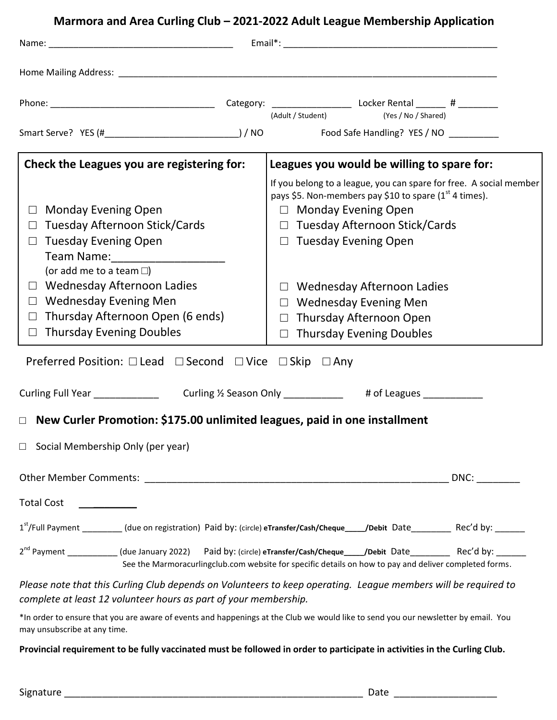# **Marmora and Area Curling Club – 2021-2022 Adult League Membership Application**

|                                                                                                                                                                                                                                                                                                                                          | (Adult / Student) (Yes / No / Shared)                                                                                                                                                                                                                                                                                                                                          |
|------------------------------------------------------------------------------------------------------------------------------------------------------------------------------------------------------------------------------------------------------------------------------------------------------------------------------------------|--------------------------------------------------------------------------------------------------------------------------------------------------------------------------------------------------------------------------------------------------------------------------------------------------------------------------------------------------------------------------------|
|                                                                                                                                                                                                                                                                                                                                          |                                                                                                                                                                                                                                                                                                                                                                                |
| Check the Leagues you are registering for:                                                                                                                                                                                                                                                                                               | Leagues you would be willing to spare for:                                                                                                                                                                                                                                                                                                                                     |
| <b>Monday Evening Open</b><br>$\Box$<br><b>Tuesday Afternoon Stick/Cards</b><br>$\Box$ Tuesday Evening Open<br>Team Name: _______________________<br>(or add me to a team $\square$ )<br>$\Box$ Wednesday Afternoon Ladies<br>$\Box$ Wednesday Evening Men<br>$\Box$ Thursday Afternoon Open (6 ends)<br>$\Box$ Thursday Evening Doubles | If you belong to a league, you can spare for free. A social member<br>pays \$5. Non-members pay \$10 to spare $(1st 4 times)$ .<br>$\Box$ Monday Evening Open<br>$\Box$ Tuesday Afternoon Stick/Cards<br>$\Box$ Tuesday Evening Open<br>$\Box$ Wednesday Afternoon Ladies<br>$\Box$ Wednesday Evening Men<br>$\Box$ Thursday Afternoon Open<br>$\Box$ Thursday Evening Doubles |
| Preferred Position: $\Box$ Lead $\Box$ Second $\Box$ Vice $\Box$ Skip $\Box$ Any                                                                                                                                                                                                                                                         |                                                                                                                                                                                                                                                                                                                                                                                |
|                                                                                                                                                                                                                                                                                                                                          |                                                                                                                                                                                                                                                                                                                                                                                |
| $\Box$ New Curler Promotion: \$175.00 unlimited leagues, paid in one installment                                                                                                                                                                                                                                                         |                                                                                                                                                                                                                                                                                                                                                                                |
| $\Box$ Social Membership Only (per year)                                                                                                                                                                                                                                                                                                 |                                                                                                                                                                                                                                                                                                                                                                                |
| <b>Total Cost</b>                                                                                                                                                                                                                                                                                                                        | DNC:                                                                                                                                                                                                                                                                                                                                                                           |
|                                                                                                                                                                                                                                                                                                                                          | 1st/Full Payment _________(due on registration) Paid by: (circle) eTransfer/Cash/Cheque____/Debit Date_________ Rec'd by: ______                                                                                                                                                                                                                                               |
|                                                                                                                                                                                                                                                                                                                                          | 2 <sup>nd</sup> Payment ___________(due January 2022) Paid by: (circle) eTransfer/Cash/Cheque____/Debit Date_________ Rec'd by: ______<br>See the Marmoracurlingclub.com website for specific details on how to pay and deliver completed forms.                                                                                                                               |
| complete at least 12 volunteer hours as part of your membership.                                                                                                                                                                                                                                                                         | Please note that this Curling Club depends on Volunteers to keep operating. League members will be required to                                                                                                                                                                                                                                                                 |
| *In order to ensure that you are aware of events and happenings at the Club we would like to send you our newsletter by email. You<br>may unsubscribe at any time.                                                                                                                                                                       |                                                                                                                                                                                                                                                                                                                                                                                |
| Provincial requirement to be fully vaccinated must be followed in order to participate in activities in the Curling Club.                                                                                                                                                                                                                |                                                                                                                                                                                                                                                                                                                                                                                |